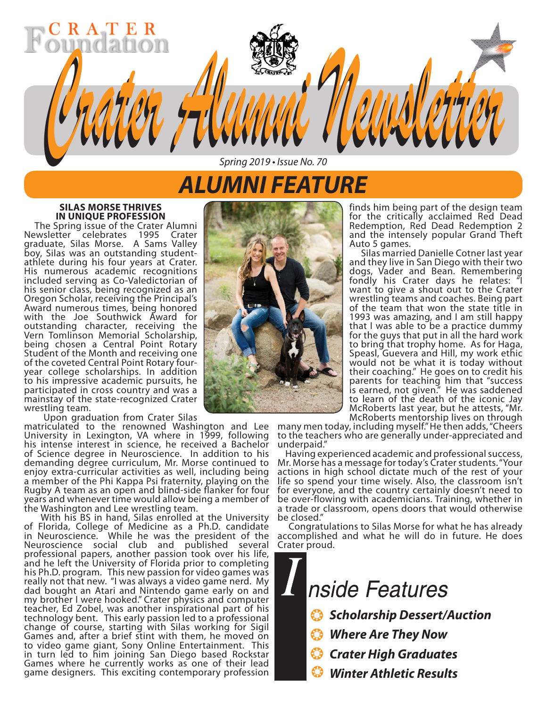## *ALUMNI FEATURE*

*Spring 2019 • Issue No. 70*

*Crater Alumni Newsletter Crater Alumni Newsletter*

## **SILAS MORSE THRIVES**

RATE

**The Spring issue of the Crater Alumni** Newsletter celebrates 1995 Crater graduate, Silas Morse. A Sams Valley boy, Silas was an outstanding studentathlete during his four years at Crater. His numerous academic recognitions included serving as Co-Valedictorian of his senior class, being recognized as an Oregon Scholar, receiving the Principal's Award numerous times, being honored with the Joe Southwick Award for outstanding character, receiving the Vern Tomlinson Memorial Scholarship, being chosen a Central Point Rotary Student of the Month and receiving one of the coveted Central Point Rotary fouryear college scholarships. In addition to his impressive academic pursuits, he participated in cross country and was a mainstay of the state-recognized Crater wrestling team.

Upon graduation from Crater Silas

matriculated to the renowned Washington and Lee University in Lexington, VA where in 1999, following his intense interest in science, he received a Bachelor of Science degree in Neuroscience. In addition to his demanding degree curriculum, Mr. Morse continued to enjoy extra-curricular activities as well, including being a member of the Phi Kappa Psi fraternity, playing on the Rugby A team as an open and blind-side flanker for four years and whenever time would allow being a member of the Washington and Lee wrestling team.

 With his BS in hand, Silas enrolled at the University of Florida, College of Medicine as a Ph.D. candidate in Neuroscience. While he was the president of the Neuroscience social club and published several professional papers, another passion took over his life, and he left the University of Florida prior to completing his Ph.D. program. This new passion for video games was really not that new. "I was always a video game nerd. My dad bought an Atari and Nintendo game early on and my brother I were hooked." Crater physics and computer teacher, Ed Zobel, was another inspirational part of his technology bent. This early passion led to a professional change of course, starting with Silas working for Sigil Games and, after a brief stint with them, he moved on to video game giant, Sony Online Entertainment. This in turn led to him joining San Diego based Rockstar Games where he currently works as one of their lead game designers. This exciting contemporary profession



finds him being part of the design team for the critically acclaimed Red Dead Redemption, Red Dead Redemption 2 and the intensely popular Grand Theft Auto 5 games.

 Silas married Danielle Cotner last year and they live in San Diego with their two dogs, Vader and Bean. Remembering fondly his Crater days he relates: "I want to give a shout out to the Crater wrestling teams and coaches. Being part of the team that won the state title in 1993 was amazing, and I am still happy that I was able to be a practice dummy for the guys that put in all the hard work to bring that trophy home. As for Haga, Speasl, Guevera and Hill, my work ethic would not be what it is today without their coaching." He goes on to credit his parents for teaching him that "success is earned, not given." He was saddened to learn of the death of the iconic Jay McRoberts last year, but he attests, "Mr.

many men today, including myself." He then adds, "Cheers to the teachers who are generally under-appreciated and underpaid."

 Having experienced academic and professional success, Mr. Morse has a message for today's Crater students. "Your actions in high school dictate much of the rest of your life so spend your time wisely. Also, the classroom isn't for everyone, and the country certainly doesn't need to be over-flowing with academicians. Training, whether in a trade or classroom, opens doors that would otherwise be closed."

 Congratulations to Silas Morse for what he has already accomplished and what he will do in future. He does Crater proud.

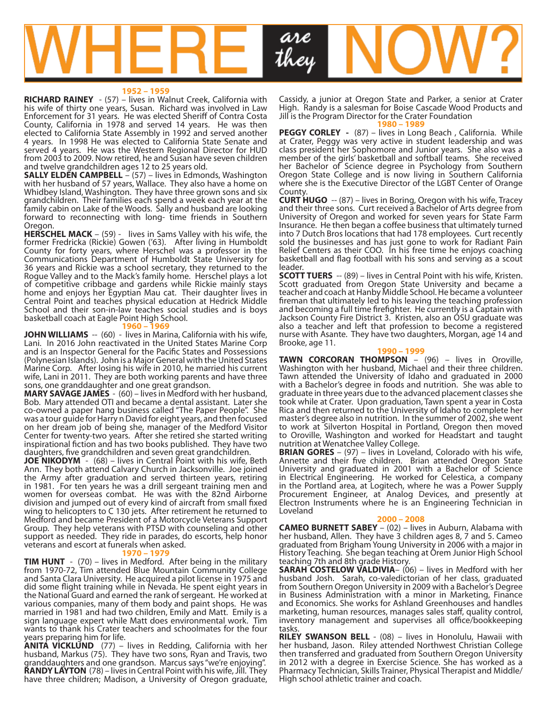

#### **1952 – 1959**

**RICHARD RAINEY** - (57) – lives in Walnut Creek, California with his wife of thirty one years, Susan. Richard was involved in Law Enforcement for 31 years. He was elected Sheriff of Contra Costa County, California in 1978 and served 14 years. He was then elected to California State Assembly in 1992 and served another 4 years. In 1998 He was elected to California State Senate and served 4 years. He was the Western Regional Director for HUD from 2003 to 2009. Now retired, he and Susan have seven children and twelve grandchildren ages 12 to 25 years old.

**SALLY ELDEN CAMPBELL** – (57) – lives in Edmonds, Washington with her husband of 57 years, Wallace. They also have a home on Whidbey Island, Washington. They have three grown sons and six grandchildren. Their families each spend a week each year at the family cabin on Lake of the Woods. Sally and husband are looking forward to reconnecting with long- time friends in Southern

Oregon.<br>**HERSCHEL MACK** – (59) - lives in Sams Valley with his wife, the former Fredricka (Rickie) Gowen ('63). After living in Humboldt County for forty years, where Herschel was a professor in the Communications Department of Humboldt State University for 36 years and Rickie was a school secretary, they returned to the Rogue Valley and to the Mack's family home. Herschel plays a lot of competitive cribbage and gardens while Rickie mainly stays home and enjoys her Egyptian Mau cat. Their daughter lives in Central Point and teaches physical education at Hedrick Middle School and their son-in-law teaches social studies and is boys basketball coach at Eagle Point High School.

#### **1960 – 1969**

**JOHN WILLIAMS** -- (60) - lives in Marina, California with his wife, Lani. In 2016 John reactivated in the United States Marine Corp and is an Inspector General for the Pacific States and Possessions (Polynesian Islands). John is a Major General with the United States Marine Corp. After losing his wife in 2010, he married his current wife, Lani in 2011. They are both working parents and have three sons, one granddaughter and one great grandson.

**MARY SAVAGE JAMES** - (60) – lives in Medford with her husband, Bob. Mary attended OTI and became a dental assistant. Later she co-owned a paper hang business called "The Paper People". She was a tour guide for Harry n David for eight years, and then focused on her dream job of being she, manager of the Medford Visitor Center for twenty-two years. After she retired she started writing inspirational fiction and has two books published. They have two daughters, five grandchildren and seven great grandchildren.

**JOE NIKODYM** - (68) – lives in Central Point with his wife, Beth Ann. They both attend Calvary Church in Jacksonville. Joe joined the Army after graduation and served thirteen years, retiring in 1981. For ten years he was a drill sergeant training men and women for overseas combat. He was with the 82nd Airborne division and jumped out of every kind of aircraft from small fixed wing to helicopters to C 130 jets. After retirement he returned to Medford and became President of a Motorcycle Veterans Support Group. They help veterans with PTSD with counseling and other support as needed. They ride in parades, do escorts, help honor veterans and escort at funerals when asked.

#### **1970 – 1979**

**TIM HUNT** - (70) – lives in Medford. After being in the military from 1970-72, Tim attended Blue Mountain Community College and Santa Clara University. He acquired a pilot license in 1975 and did some flight training while in Nevada. He spent eight years in the National Guard and earned the rank of sergeant. He worked at various companies, many of them body and paint shops. He was married in 1981 and had two children, Emily and Matt. Emily is a sign language expert while Matt does environmental work. Tim wants to thank his Crater teachers and schoolmates for the four years preparing him for life.

**ANITA VICKLUND** (77) – lives in Redding, California with her husband, Markus (75). They have two sons, Ryan and Travis, two granddaughters and one grandson. Marcus says "we're enjoying". **RANDY LAYTON** (78) – lives in Central Point with his wife, Jill. They have three children; Madison, a University of Oregon graduate,

Cassidy, a junior at Oregon State and Parker, a senior at Crater High. Randy is a salesman for Boise Cascade Wood Products and Jill is the Program Director for the Crater Foundation **1980 – 1989**

**PEGGY CORLEY -** (87) – lives in Long Beach , California. While at Crater, Peggy was very active in student leadership and was class president her Sophomore and Junior years. She also was a member of the girls' basketball and softball teams. She received her Bachelor of Science degree in Psychology from Southern Oregon State College and is now living in Southern California where she is the Executive Director of the LGBT Center of Orange **County** 

**CURT HUGO** -- (87) – lives in Boring, Oregon with his wife, Tracey and their three sons. Curt received a Bachelor of Arts degree from University of Oregon and worked for seven years for State Farm Insurance. He then began a coffee business that ultimately turned into 7 Dutch Bros locations that had 178 employees. Curt recently sold the businesses and has just gone to work for Radiant Pain Relief Centers as their COO. In his free time he enjoys coaching basketball and flag football with his sons and serving as a scout leader.

**SCOTT TUERS** -- (89) – lives in Central Point with his wife, Kristen. Scott graduated from Oregon State University and became a teacher and coach at Hanby Middle School. He became a volunteer fireman that ultimately led to his leaving the teaching profession and becoming a full time firefighter. He currently is a Captain with Jackson County Fire District 3. Kristen, also an OSU graduate was also a teacher and left that profession to become a registered nurse with Asante. They have two daughters, Morgan, age 14 and Brooke, age 11.

#### **1990 – 1999**

**TAWN CORCORAN THOMPSON** – (96) – lives in Oroville, Washington with her husband, Michael and their three children. Tawn attended the University of Idaho and graduated in 2000 with a Bachelor's degree in foods and nutrition. She was able to graduate in three years due to the advanced placement classes she took while at Crater. Upon graduation, Tawn spent a year in Costa Rica and then returned to the University of Idaho to complete her master's degree also in nutrition. In the summer of 2002, she went to work at Silverton Hospital in Portland, Oregon then moved to Oroville, Washington and worked for Headstart and taught nutrition at Wenatchee Valley College.

**BRIAN GORES** – (97) – lives in Loveland, Colorado with his wife, Annette and their five children. Brian attended Oregon State University and graduated in 2001 with a Bachelor of Science in Electrical Engineering. He worked for Celestica, a company in the Portland area, at Logitech, where he was a Power Supply Procurement Engineer, at Analog Devices, and presently at Electron Instruments where he is an Engineering Technician in Loveland

#### **2000 – 2008**

**CAMEO BURNETT SABEY** – (02) – lives in Auburn, Alabama with her husband, Allen. They have 3 children ages 8, 7 and 5. Cameo graduated from Brigham Young University in 2006 with a major in History Teaching. She began teaching at Orem Junior High School teaching 7th and 8th grade History.

**SARAH COSTELOW VALDIVIA**– (06) – lives in Medford with her husband Josh. Sarah, co-valedictorian of her class, graduated from Southern Oregon University in 2009 with a Bachelor's Degree in Business Administration with a minor in Marketing, Finance and Economics. She works for Ashland Greenhouses and handles marketing, human resources, manages sales staff, quality control, inventory management and supervises all office/bookkeeping tasks.

**RILEY SWANSON BELL** - (08) – lives in Honolulu, Hawaii with her husband, Jason. Riley attended Northwest Christian College then transferred and graduated from Southern Oregon University in 2012 with a degree in Exercise Science. She has worked as a Pharmacy Technician, Skills Trainer, Physical Therapist and Middle/ High school athletic trainer and coach.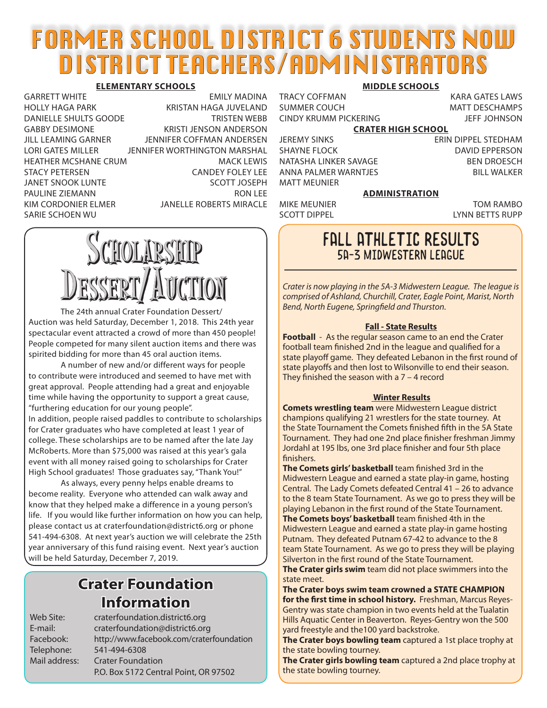## FORMER SCHOOL DISTRICT 6 STUDENTS NOW DISTRICT TEACHERS/ADMINISTRATORS

#### **ELEMENTARY SCHOOLS**

HOLLY HAGA PARK KRISTAN HAGA JUVELAND DANIELLE SHULTS GOODE TRISTEN WEBB GABBY DESIMONE KRISTI JENSON ANDERSON JILL LEAMING GARNER JENNIFER COFFMAN ANDERSEN LORI GATES MILLER JENNIFER WORTHINGTON MARSHAL HEATHER MCSHANE CRUM MACK LEWIS STACY PETERSEN CANDEY FOLEY LEE JANET SNOOK LUNTE SCOTT JOSEPH PAULINE ZIEMANN RON LEE KIM CORDONIER ELMER JANELLE ROBERTS MIRACLE SARIE SCHOEN WU

GARRETT WHITE **EMILY MADINA** 

#### **MIDDLE SCHOOLS**

SUMMER COUCH MATT DESCHAMPS CINDY KRUMM PICKERING JEFF JOHNSON

TRACY COFFMAN KARA GATES LAWS

**CRATER HIGH SCHOOL**

SHAYNE FLOCK DAVID EPPERSON NATASHA LINKER SAVAGE BEN DROESCH ANNA PALMER WARNTJES BILL WALKER MATT MEUNIER

JEREMY SINKS ERIN DIPPEL STEDHAM

#### **ADMINISTRATION**

MIKE MEUNIER TOM RAMBO SCOTT DIPPEL LYNN BETTS RUPP

# Scholarship Dessert/Auction

 The 24th annual Crater Foundation Dessert/ Auction was held Saturday, December 1, 2018. This 24th year spectacular event attracted a crowd of more than 450 people! People competed for many silent auction items and there was spirited bidding for more than 45 oral auction items.

A number of new and/or different ways for people to contribute were introduced and seemed to have met with great approval. People attending had a great and enjoyable time while having the opportunity to support a great cause, "furthering education for our young people".

In addition, people raised paddles to contribute to scholarships for Crater graduates who have completed at least 1 year of college. These scholarships are to be named after the late Jay McRoberts. More than \$75,000 was raised at this year's gala event with all money raised going to scholarships for Crater High School graduates! Those graduates say, "Thank You!"

As always, every penny helps enable dreams to become reality. Everyone who attended can walk away and know that they helped make a difference in a young person's life. If you would like further information on how you can help, please contact us at craterfoundation@district6.org or phone 541-494-6308. At next year's auction we will celebrate the 25th year anniversary of this fund raising event. Next year's auction will be held Saturday, December 7, 2019.

## **Crater Foundation Information**

Web Site: craterfoundation.district6.org E-mail: craterfoundation@district6.org Facebook: http://www.facebook.com/craterfoundation Telephone: 541-494-6308 Mail address: Crater Foundation P.O. Box 5172 Central Point, OR 97502

### FALL ATHLETIC RESULTS 5A-3 Midwestern League

*Crater is now playing in the 5A-3 Midwestern League. The league is comprised of Ashland, Churchill, Crater, Eagle Point, Marist, North Bend, North Eugene, Springfield and Thurston.*

#### **Fall - State Results**

**Football** - As the regular season came to an end the Crater football team finished 2nd in the league and qualified for a state playoff game. They defeated Lebanon in the first round of state playoffs and then lost to Wilsonville to end their season. They finished the season with a 7 – 4 record

#### **Winter Results**

**Comets wrestling team** were Midwestern League district champions qualifying 21 wrestlers for the state tourney. At the State Tournament the Comets finished fifth in the 5A State Tournament. They had one 2nd place finisher freshman Jimmy Jordahl at 195 lbs, one 3rd place finisher and four 5th place finishers.

**The Comets girls' basketball** team finished 3rd in the Midwestern League and earned a state play-in game, hosting Central. The Lady Comets defeated Central 41 – 26 to advance to the 8 team State Tournament. As we go to press they will be playing Lebanon in the first round of the State Tournament. **The Comets boys' basketball** team finished 4th in the Midwestern League and earned a state play-in game hosting Putnam. They defeated Putnam 67-42 to advance to the 8 team State Tournament. As we go to press they will be playing Silverton in the first round of the State Tournament.

**The Crater girls swim** team did not place swimmers into the state meet.

**The Crater boys swim team crowned a STATE CHAMPION for the first time in school history.** Freshman, Marcus Reyes-Gentry was state champion in two events held at the Tualatin Hills Aquatic Center in Beaverton. Reyes-Gentry won the 500 yard freestyle and the100 yard backstroke.

**The Crater boys bowling team** captured a 1st place trophy at the state bowling tourney.

**The Crater girls bowling team** captured a 2nd place trophy at the state bowling tourney.